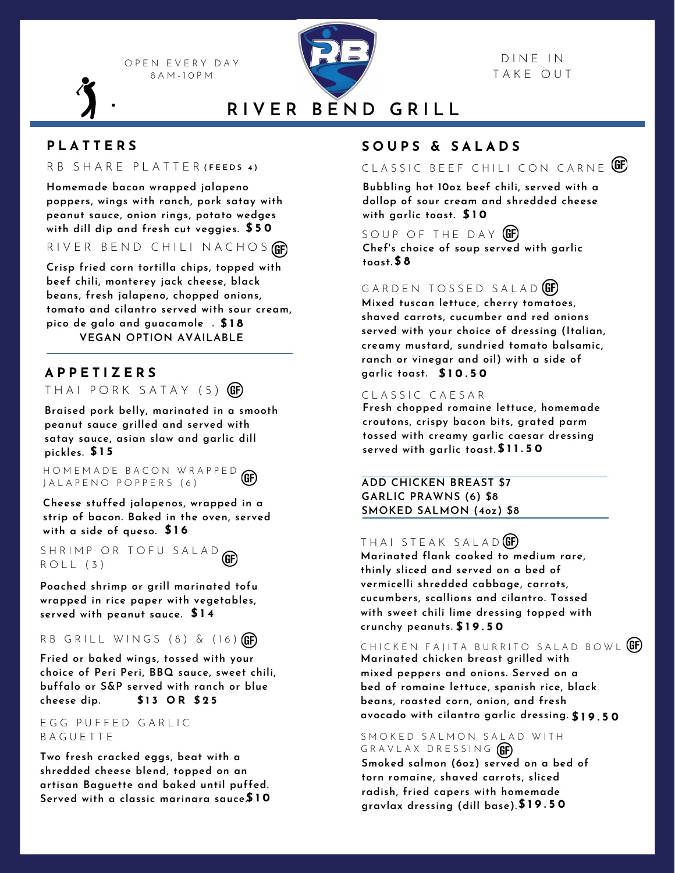O P E N E V E R Y D A Y 8 A M - 1 0 P M



### D IN E IN T A K E O U T

**R I V E R B E N D G R I L L**

# **P L A T T E R S**

### R B S H A R E P L A T T E R **( F E E D S 4 )**

**Homemade bacon wrapped jalapeno poppers, wings with ranch, pork satay with peanut sauce, onion rings, potato wedges with dill dip and fresh cut veggies. \$ 5 0**

RIVER BEND CHILI NACHOS

**Crisp fried corn tortilla chips, topped with beef chili, monterey jack cheese, black beans, fresh jalapeno, chopped onions, tomato and cilantro served with sour cream, pico de galo and guacamole . \$ 1 8 VEGAN OPTION AVAILABLE**

# **A P P E T I Z E R S**

THAI PORK SATAY (5) **GF** 

**Braised pork belly, marinated in a smooth peanut sauce grilled and served with satay sauce, asian slaw and garlic dill pickles. \$ 1 5**

H O M E M A D E B A C O N W R A P P E D J A L A P E N O P O P P E R S (6)

**Cheese stuffed jalapenos, wrapped in a strip of bacon. Baked in the oven, served with a side of queso. \$ 1 6**

S H R I M P O R T O F U S A L A D GE  $ROLL$  (3)

**Poached shrimp or grill marinated tofu wrapped in rice paper with vegetables, served with peanut sauce. \$ 1 4**

#### R B G R I L L W I N G S (8) & (16) **(GF)**

**\$ 1 3 O R \$ 2 5 Fried or baked wings, tossed with your choice of Peri Peri, BBQ sauce, sweet chili, buffalo or S&P served with ranch or blue cheese dip.**

#### E G G P U F F E D G A R L I C B A G U E T T E

**Two fresh cracked eggs, beat with a shredded cheese blend, topped on an artisan Baguette and baked until puffed. Served with a classic marinara sauce.\$ 1 0**

# **S O U P S & S A L A D S**

CLASSIC BEEF CHILI CON CARNE **GE** 

**Bubbling hot 10oz beef chili, served with a dollop of sour cream and shredded cheese with garlic toast. \$ 1 0**

SOUP OF THE DAY **(GF) Chef's choice of soup served with garlic toast. \$ 8**

### GARDEN TOSSED SALAD<sup>(GF)</sup>

**Mixed tuscan lettuce, cherry tomatoes, shaved carrots, cucumber and red onions served with your choice of dressing (Italian, creamy mustard, sundried tomato balsamic, ranch or vinegar and oil) with a side of garlic toast. \$ 1 0 . 5 0**

### CLASSIC CAESAR

**Fresh chopped romaine lettuce, homemade croutons, crispy bacon bits, grated parm tossed with creamy garlic caesar dressing served with garlic toast. \$ 1 1 . 5 0**

**ADD CHICKEN BREAST \$7 GARLIC PRAWNS (6) \$8 SMOKED SALMON (4oz) \$8**

## THAI STEAK SALAD<sup>(GF)</sup>

**Marinated flank cooked to medium rare, thinly sliced and served on a bed of vermicelli shredded cabbage, carrots, cucumbers, scallions and cilantro. Tossed with sweet chili lime dressing topped with crunchy peanuts. \$ 1 9 . 5 0**

CHICKEN FAJITA BURRITO SALAD BOWL (GF)

**Marinated chicken breast grilled with mixed peppers and onions. Served on a bed of romaine lettuce, spanish rice, black beans, roasted corn, onion, and fresh avocado with cilantro garlic dressing. \$ 1 9 . 5 0**

### SMOKED SALMON SALAD WITH GRAVLAX DRESSING GE

**Smoked salmon (6oz) served on a bed of torn romaine, shaved carrots, sliced radish, fried capers with homemade gravlax dressing (dill base).\$ 1 9 . 5 0**